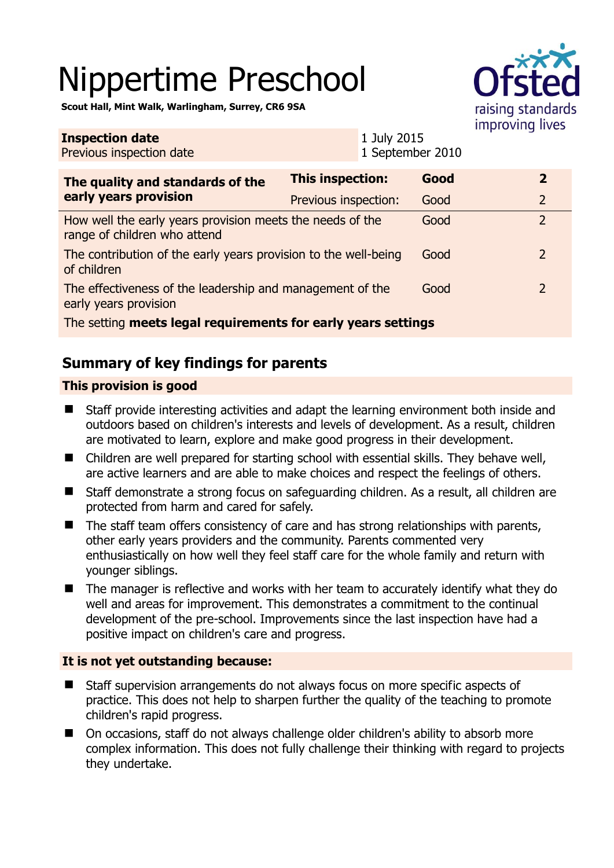# Nippertime Preschool

raising standards improving lives

**Scout Hall, Mint Walk, Warlingham, Surrey, CR6 9SA** 

| <b>Inspection date</b><br>Previous inspection date                                        |                         | 1 July 2015<br>1 September 2010 |      |  |                |  |
|-------------------------------------------------------------------------------------------|-------------------------|---------------------------------|------|--|----------------|--|
| The quality and standards of the<br>early years provision                                 | <b>This inspection:</b> |                                 | Good |  | $\overline{2}$ |  |
|                                                                                           | Previous inspection:    |                                 | Good |  | $\overline{2}$ |  |
| How well the early years provision meets the needs of the<br>range of children who attend |                         |                                 | Good |  | $\overline{2}$ |  |
| The contribution of the early years provision to the well-being<br>of children            |                         |                                 | Good |  | 2              |  |
| The effectiveness of the leadership and management of the<br>early years provision        |                         |                                 | Good |  | 2              |  |
| The setting meets legal requirements for early years settings                             |                         |                                 |      |  |                |  |

# **Summary of key findings for parents**

## **This provision is good**

- Staff provide interesting activities and adapt the learning environment both inside and outdoors based on children's interests and levels of development. As a result, children are motivated to learn, explore and make good progress in their development.
- Children are well prepared for starting school with essential skills. They behave well, are active learners and are able to make choices and respect the feelings of others.
- Staff demonstrate a strong focus on safeguarding children. As a result, all children are protected from harm and cared for safely.
- $\blacksquare$  The staff team offers consistency of care and has strong relationships with parents, other early years providers and the community. Parents commented very enthusiastically on how well they feel staff care for the whole family and return with younger siblings.
- The manager is reflective and works with her team to accurately identify what they do well and areas for improvement. This demonstrates a commitment to the continual development of the pre-school. Improvements since the last inspection have had a positive impact on children's care and progress.

### **It is not yet outstanding because:**

- Staff supervision arrangements do not always focus on more specific aspects of practice. This does not help to sharpen further the quality of the teaching to promote children's rapid progress.
- On occasions, staff do not always challenge older children's ability to absorb more complex information. This does not fully challenge their thinking with regard to projects they undertake.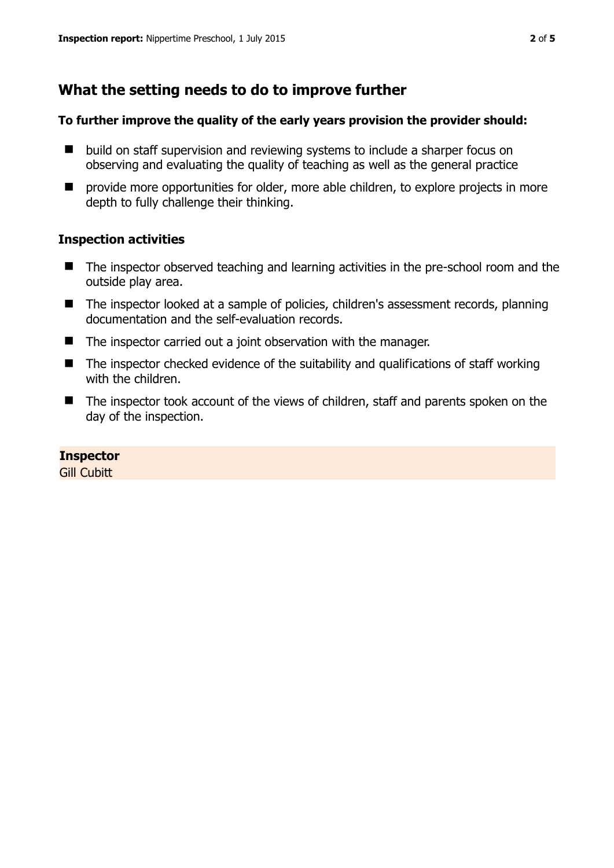# **What the setting needs to do to improve further**

#### **To further improve the quality of the early years provision the provider should:**

- build on staff supervision and reviewing systems to include a sharper focus on observing and evaluating the quality of teaching as well as the general practice
- $\blacksquare$  provide more opportunities for older, more able children, to explore projects in more depth to fully challenge their thinking.

### **Inspection activities**

- The inspector observed teaching and learning activities in the pre-school room and the outside play area.
- The inspector looked at a sample of policies, children's assessment records, planning documentation and the self-evaluation records.
- $\blacksquare$  The inspector carried out a joint observation with the manager.
- $\blacksquare$  The inspector checked evidence of the suitability and qualifications of staff working with the children.
- The inspector took account of the views of children, staff and parents spoken on the day of the inspection.

### **Inspector**

**Gill Cubitt**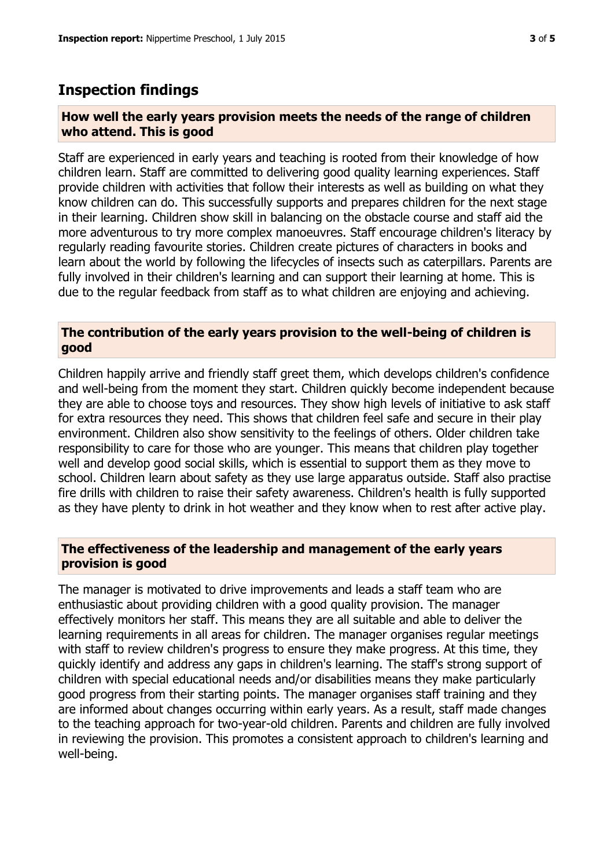## **Inspection findings**

#### **How well the early years provision meets the needs of the range of children who attend. This is good**

Staff are experienced in early years and teaching is rooted from their knowledge of how children learn. Staff are committed to delivering good quality learning experiences. Staff provide children with activities that follow their interests as well as building on what they know children can do. This successfully supports and prepares children for the next stage in their learning. Children show skill in balancing on the obstacle course and staff aid the more adventurous to try more complex manoeuvres. Staff encourage children's literacy by regularly reading favourite stories. Children create pictures of characters in books and learn about the world by following the lifecycles of insects such as caterpillars. Parents are fully involved in their children's learning and can support their learning at home. This is due to the regular feedback from staff as to what children are enjoying and achieving.

#### **The contribution of the early years provision to the well-being of children is good**

Children happily arrive and friendly staff greet them, which develops children's confidence and well-being from the moment they start. Children quickly become independent because they are able to choose toys and resources. They show high levels of initiative to ask staff for extra resources they need. This shows that children feel safe and secure in their play environment. Children also show sensitivity to the feelings of others. Older children take responsibility to care for those who are younger. This means that children play together well and develop good social skills, which is essential to support them as they move to school. Children learn about safety as they use large apparatus outside. Staff also practise fire drills with children to raise their safety awareness. Children's health is fully supported as they have plenty to drink in hot weather and they know when to rest after active play.

### **The effectiveness of the leadership and management of the early years provision is good**

The manager is motivated to drive improvements and leads a staff team who are enthusiastic about providing children with a good quality provision. The manager effectively monitors her staff. This means they are all suitable and able to deliver the learning requirements in all areas for children. The manager organises regular meetings with staff to review children's progress to ensure they make progress. At this time, they quickly identify and address any gaps in children's learning. The staff's strong support of children with special educational needs and/or disabilities means they make particularly good progress from their starting points. The manager organises staff training and they are informed about changes occurring within early years. As a result, staff made changes to the teaching approach for two-year-old children. Parents and children are fully involved in reviewing the provision. This promotes a consistent approach to children's learning and well-being.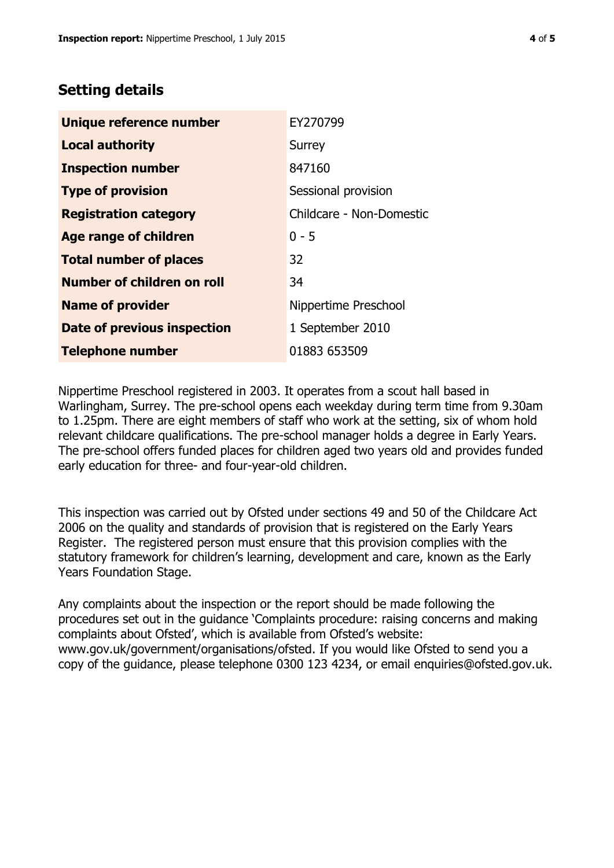# **Setting details**

| Unique reference number       | EY270799                 |  |  |
|-------------------------------|--------------------------|--|--|
| <b>Local authority</b>        | Surrey                   |  |  |
| <b>Inspection number</b>      | 847160                   |  |  |
| <b>Type of provision</b>      | Sessional provision      |  |  |
| <b>Registration category</b>  | Childcare - Non-Domestic |  |  |
| Age range of children         | $0 - 5$                  |  |  |
| <b>Total number of places</b> | 32                       |  |  |
| Number of children on roll    | 34                       |  |  |
| <b>Name of provider</b>       | Nippertime Preschool     |  |  |
| Date of previous inspection   | 1 September 2010         |  |  |
| <b>Telephone number</b>       | 01883 653509             |  |  |

Nippertime Preschool registered in 2003. It operates from a scout hall based in Warlingham, Surrey. The pre-school opens each weekday during term time from 9.30am to 1.25pm. There are eight members of staff who work at the setting, six of whom hold relevant childcare qualifications. The pre-school manager holds a degree in Early Years. The pre-school offers funded places for children aged two years old and provides funded early education for three- and four-year-old children.

This inspection was carried out by Ofsted under sections 49 and 50 of the Childcare Act 2006 on the quality and standards of provision that is registered on the Early Years Register. The registered person must ensure that this provision complies with the statutory framework for children's learning, development and care, known as the Early Years Foundation Stage.

Any complaints about the inspection or the report should be made following the procedures set out in the guidance 'Complaints procedure: raising concerns and making complaints about Ofsted', which is available from Ofsted's website: www.gov.uk/government/organisations/ofsted. If you would like Ofsted to send you a copy of the guidance, please telephone 0300 123 4234, or email enquiries@ofsted.gov.uk.